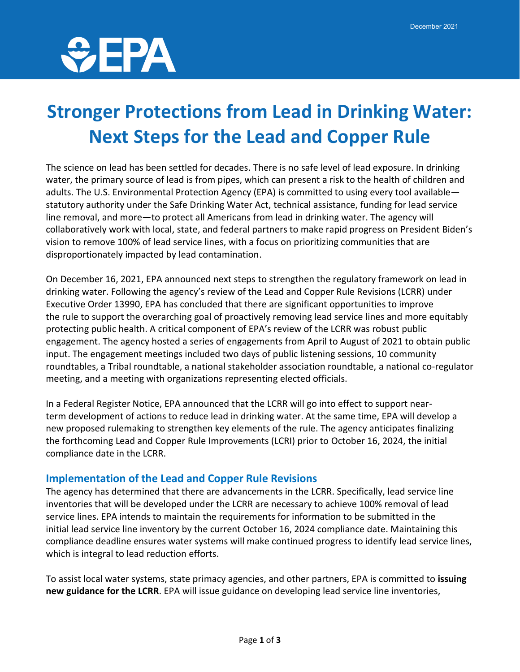

## **Stronger Protections from Lead in Drinking Water: Next Steps for the Lead and Copper Rule**

The science on lead has been settled for decades. There is no safe level of lead exposure. In drinking water, the primary source of lead is from pipes, which can present a risk to the health of children and adults. The U.S. Environmental Protection Agency (EPA) is committed to using every tool available statutory authority under the Safe Drinking Water Act, technical assistance, funding for lead service line removal, and more—to protect all Americans from lead in drinking water. The agency will collaboratively work with local, state, and federal partners to make rapid progress on President Biden's vision to remove 100% of lead service lines, with a focus on prioritizing communities that are disproportionately impacted by lead contamination.

On December 16, 2021, EPA announced next steps to strengthen the regulatory framework on lead in drinking water. Following the agency's review of the Lead and Copper Rule Revisions (LCRR) under Executive Order 13990, EPA has concluded that there are significant opportunities to improve the rule to support the overarching goal of proactively removing lead service lines and more equitably protecting public health. A critical component of EPA's review of the LCRR was robust public engagement. The agency hosted a series of engagements from April to August of 2021 to obtain public input. The engagement meetings included two days of public listening sessions, 10 community roundtables, a Tribal roundtable, a national stakeholder association roundtable, a national co-regulator meeting, and a meeting with organizations representing elected officials.

In a Federal Register Notice, EPA announced that the LCRR will go into effect to support nearterm development of actions to reduce lead in drinking water. At the same time, EPA will develop a new proposed rulemaking to strengthen key elements of the rule. The agency anticipates finalizing the forthcoming Lead and Copper Rule Improvements (LCRI) prior to October 16, 2024, the initial compliance date in the LCRR.

#### **Implementation of the Lead and Copper Rule Revisions**

The agency has determined that there are advancements in the LCRR. Specifically, lead service line inventories that will be developed under the LCRR are necessary to achieve 100% removal of lead service lines. EPA intends to maintain the requirements for information to be submitted in the initial lead service line inventory by the current October 16, 2024 compliance date. Maintaining this compliance deadline ensures water systems will make continued progress to identify lead service lines, which is integral to lead reduction efforts.

To assist local water systems, state primacy agencies, and other partners, EPA is committed to **issuing new guidance for the LCRR**. EPA will issue guidance on developing lead service line inventories,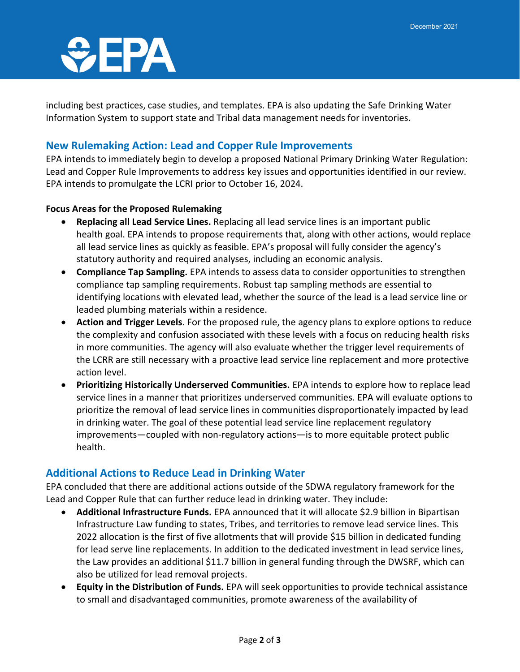# $\partial$ EPA

including best practices, case studies, and templates. EPA is also updating the Safe Drinking Water Information System to support state and Tribal data management needs for inventories.

### **New Rulemaking Action: Lead and Copper Rule Improvements**

EPA intends to immediately begin to develop a proposed National Primary Drinking Water Regulation: Lead and Copper Rule Improvements to address key issues and opportunities identified in our review. EPA intends to promulgate the LCRI prior to October 16, 2024.

#### **Focus Areas for the Proposed Rulemaking**

- **Replacing all Lead Service Lines.** Replacing all lead service lines is an important public health goal. EPA intends to propose requirements that, along with other actions, would replace all lead service lines as quickly as feasible. EPA's proposal will fully consider the agency's statutory authority and required analyses, including an economic analysis.
- **Compliance Tap Sampling.** EPA intends to assess data to consider opportunities to strengthen compliance tap sampling requirements. Robust tap sampling methods are essential to identifying locations with elevated lead, whether the source of the lead is a lead service line or leaded plumbing materials within a residence.
- **Action and Trigger Levels**. For the proposed rule, the agency plans to explore options to reduce the complexity and confusion associated with these levels with a focus on reducing health risks in more communities. The agency will also evaluate whether the trigger level requirements of the LCRR are still necessary with a proactive lead service line replacement and more protective action level.
- **Prioritizing Historically Underserved Communities.** EPA intends to explore how to replace lead service lines in a manner that prioritizes underserved communities. EPA will evaluate options to prioritize the removal of lead service lines in communities disproportionately impacted by lead in drinking water. The goal of these potential lead service line replacement regulatory improvements—coupled with non-regulatory actions—is to more equitable protect public health.

#### **Additional Actions to Reduce Lead in Drinking Water**

EPA concluded that there are additional actions outside of the SDWA regulatory framework for the Lead and Copper Rule that can further reduce lead in drinking water. They include:

- **Additional Infrastructure Funds.** EPA announced that it will allocate \$2.9 billion in Bipartisan Infrastructure Law funding to states, Tribes, and territories to remove lead service lines. This 2022 allocation is the first of five allotments that will provide \$15 billion in dedicated funding for lead serve line replacements. In addition to the dedicated investment in lead service lines, the Law provides an additional \$11.7 billion in general funding through the DWSRF, which can also be utilized for lead removal projects.
- **Equity in the Distribution of Funds.** EPA will seek opportunities to provide technical assistance to small and disadvantaged communities, promote awareness of the availability of